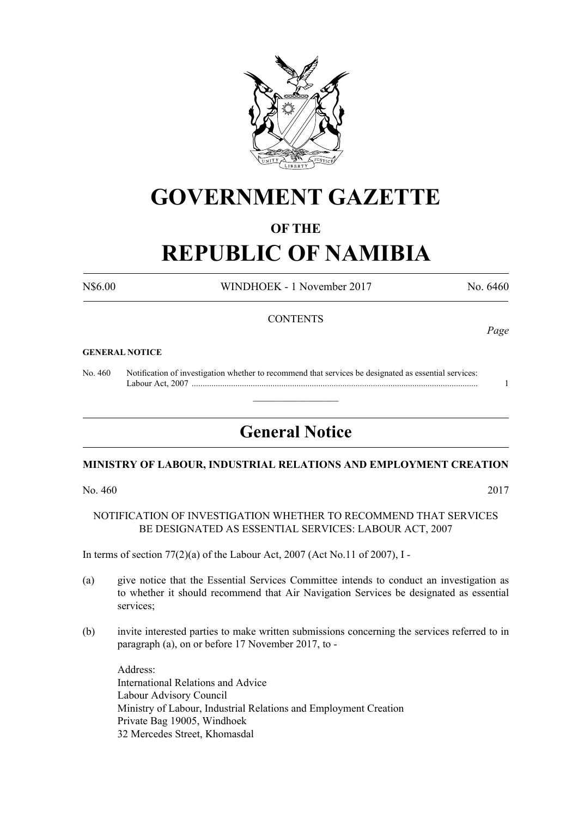

## **GOVERNMENT GAZETTE**

#### **OF THE**

# **REPUBLIC OF NAMIBIA**

N\$6.00 WINDHOEK - 1 November 2017 No. 6460

#### **CONTENTS**

#### **GENERAL NOTICE**

No. 460 Notification of investigation whether to recommend that services be designated as essential services: Labour Act, 2007 ................................................................................................................................... 1

### **General Notice**

 $\overline{\phantom{a}}$  , where  $\overline{\phantom{a}}$ 

#### **MINISTRY OF LABOUR, INDUSTRIAL RELATIONS AND EMPLOYMENT CREATION**

No. 460 2017

NOTIFICATION OF INVESTIGATION WHETHER TO RECOMMEND THAT SERVICES BE DESIGNATED AS ESSENTIAL SERVICES: LABOUR ACT, 2007

In terms of section 77(2)(a) of the Labour Act, 2007 (Act No.11 of 2007), I -

- (a) give notice that the Essential Services Committee intends to conduct an investigation as to whether it should recommend that Air Navigation Services be designated as essential services;
- (b) invite interested parties to make written submissions concerning the services referred to in paragraph (a), on or before 17 November 2017, to -

Address: International Relations and Advice Labour Advisory Council Ministry of Labour, Industrial Relations and Employment Creation Private Bag 19005, Windhoek 32 Mercedes Street, Khomasdal

*Page*